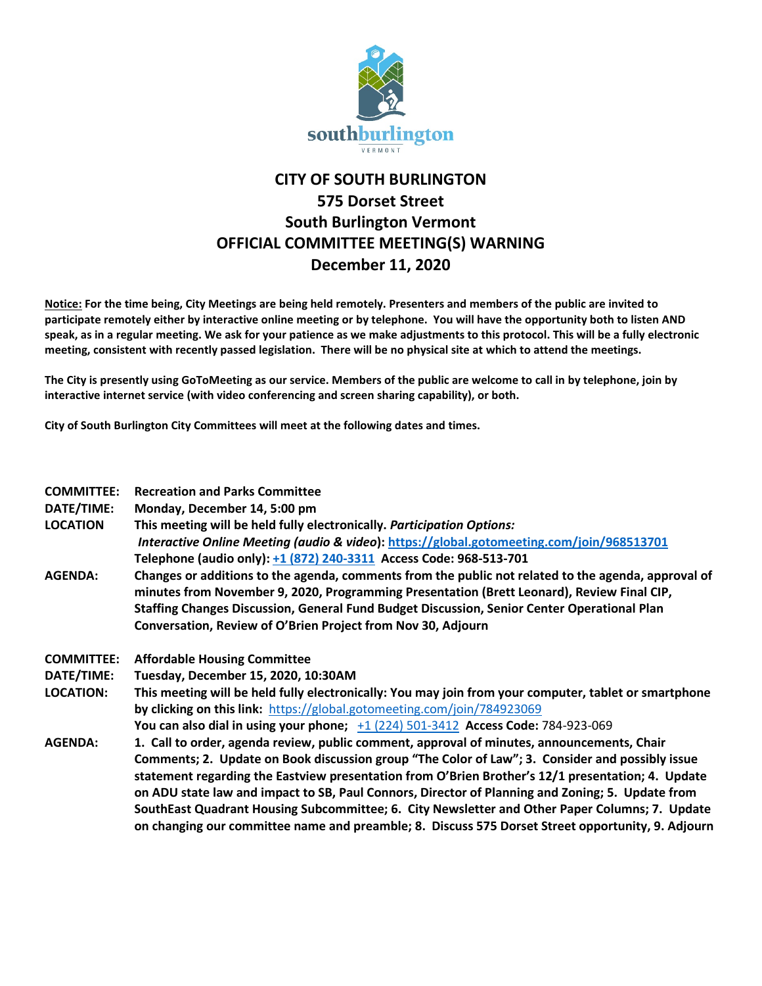

## **CITY OF SOUTH BURLINGTON 575 Dorset Street South Burlington Vermont OFFICIAL COMMITTEE MEETING(S) WARNING December 11, 2020**

**Notice: For the time being, City Meetings are being held remotely. Presenters and members of the public are invited to participate remotely either by interactive online meeting or by telephone. You will have the opportunity both to listen AND speak, as in a regular meeting. We ask for your patience as we make adjustments to this protocol. This will be a fully electronic meeting, consistent with recently passed legislation. There will be no physical site at which to attend the meetings.** 

**The City is presently using GoToMeeting as our service. Members of the public are welcome to call in by telephone, join by interactive internet service (with video conferencing and screen sharing capability), or both.**

**City of South Burlington City Committees will meet at the following dates and times.** 

| <b>COMMITTEE:</b><br>DATE/TIME:<br><b>LOCATION</b> | <b>Recreation and Parks Committee</b><br>Monday, December 14, 5:00 pm<br>This meeting will be held fully electronically. Participation Options:<br>Interactive Online Meeting (audio & video): https://global.gotomeeting.com/join/968513701<br>Telephone (audio only): +1 (872) 240-3311 Access Code: 968-513-701                                               |
|----------------------------------------------------|------------------------------------------------------------------------------------------------------------------------------------------------------------------------------------------------------------------------------------------------------------------------------------------------------------------------------------------------------------------|
| <b>AGENDA:</b>                                     | Changes or additions to the agenda, comments from the public not related to the agenda, approval of<br>minutes from November 9, 2020, Programming Presentation (Brett Leonard), Review Final CIP,<br>Staffing Changes Discussion, General Fund Budget Discussion, Senior Center Operational Plan<br>Conversation, Review of O'Brien Project from Nov 30, Adjourn |
| <b>COMMITTEE:</b>                                  | <b>Affordable Housing Committee</b>                                                                                                                                                                                                                                                                                                                              |
| DATE/TIME:                                         | Tuesday, December 15, 2020, 10:30AM                                                                                                                                                                                                                                                                                                                              |
| <b>LOCATION:</b>                                   | This meeting will be held fully electronically: You may join from your computer, tablet or smartphone                                                                                                                                                                                                                                                            |
|                                                    | by clicking on this link: https://global.gotomeeting.com/join/784923069                                                                                                                                                                                                                                                                                          |
|                                                    | You can also dial in using your phone; $+1$ (224) 501-3412 Access Code: 784-923-069                                                                                                                                                                                                                                                                              |
| <b>AGENDA:</b>                                     | 1. Call to order, agenda review, public comment, approval of minutes, announcements, Chair                                                                                                                                                                                                                                                                       |
|                                                    | Comments; 2. Update on Book discussion group "The Color of Law"; 3. Consider and possibly issue<br>statement regarding the Eastview presentation from O'Brien Brother's 12/1 presentation; 4. Update<br>on ADU state law and impact to SB, Paul Connors, Director of Planning and Zoning; 5. Update from                                                         |
|                                                    | SouthEast Quadrant Housing Subcommittee; 6. City Newsletter and Other Paper Columns; 7. Update<br>on changing our committee name and preamble; 8. Discuss 575 Dorset Street opportunity, 9. Adjourn                                                                                                                                                              |